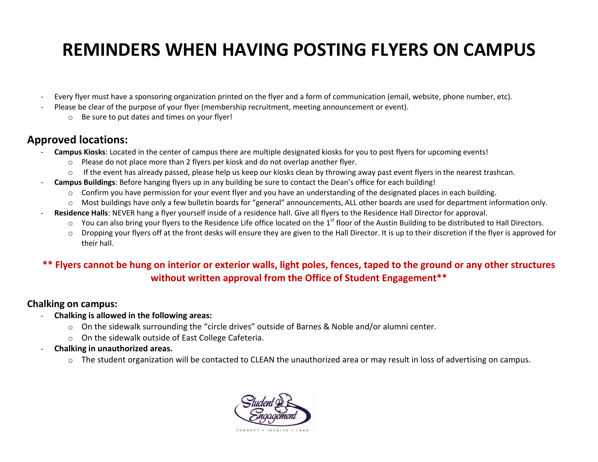# **REMINDERS WHEN HAVING POSTING FLYERS ON CAMPUS**

- Every flyer must have a sponsoring organization printed on the flyer and a form of communication (email, website, phone number, etc).
- Please be clear of the purpose of your flyer (membership recruitment, meeting announcement or event).
	- o Be sure to put dates and times on your flyer!

## **Approved locations:**

- **Campus Kiosks**: Located in the center of campus there are multiple designated kiosks for you to post flyers for upcoming events!
	- $\circ$  Please do not place more than 2 flyers per kiosk and do not overlap another flyer.
	- o If the event has already passed, please help us keep our kiosks clean by throwing away past event flyers in the nearest trashcan.
- **Campus Buildings**: Before hanging flyers up in any building be sure to contact the Dean's office for each building!
	- $\circ$  Confirm you have permission for your event flyer and you have an understanding of the designated places in each building.
	- o Most buildings have only a few bulletin boards for "general" announcements, ALL other boards are used for department information only.
- Residence Halls: NEVER hang a flyer yourself inside of a residence hall. Give all flyers to the Residence Hall Director for approval.
	- $\circ$  You can also bring your flyers to the Residence Life office located on the 1<sup>st</sup> floor of the Austin Building to be distributed to Hall Directors.
	- o Dropping your flyers off at the front desks will ensure they are given to the Hall Director. It is up to their discretion if the flyer is approved for their hall.

## **\*\* Flyers cannot be hung on interior or exterior walls, light poles, fences, taped to the ground or any other structures without written approval from the Office of Student Engagement\*\***

### **Chalking on campus:**

- **Chalking is allowed in the following areas:** 
	- o On the sidewalk surrounding the "circle drives" outside of Barnes & Noble and/or alumni center.
	- o On the sidewalk outside of East College Cafeteria.
- **Chalking in unauthorized areas.** 
	- $\circ$  The student organization will be contacted to CLEAN the unauthorized area or may result in loss of advertising on campus.